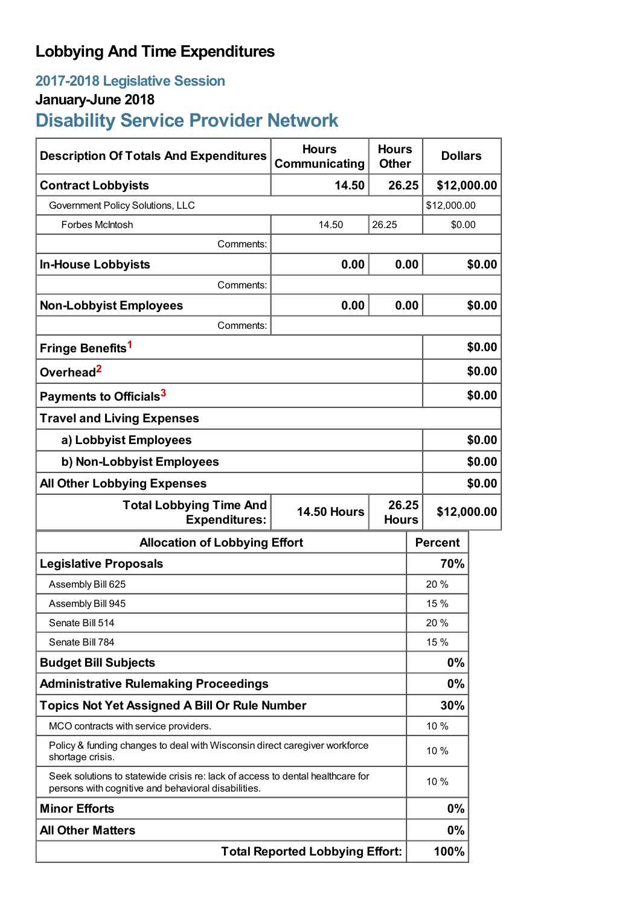## **Lobbying And Time Expenditures**

## **2017-2018 Legislative Session**

## **January-June 2018**

# **Disability Service Provider Network**

| <b>Description Of Totals And Expenditures</b>                                                                                         | <b>Hours</b><br>Communicating | <b>Hours</b><br><b>Other</b> | <b>Dollars</b> |        |
|---------------------------------------------------------------------------------------------------------------------------------------|-------------------------------|------------------------------|----------------|--------|
| <b>Contract Lobbyists</b>                                                                                                             | 14.50                         | 26.25                        | \$12,000.00    |        |
| Government Policy Solutions, LLC                                                                                                      |                               |                              | \$12,000.00    |        |
| Forbes McIntosh                                                                                                                       | 14.50                         | 26.25                        | \$0.00         |        |
| Comments:                                                                                                                             |                               |                              |                |        |
| <b>In-House Lobbyists</b>                                                                                                             | 0.00                          | 0.00                         |                | \$0.00 |
| Comments:                                                                                                                             |                               |                              |                |        |
| <b>Non-Lobbyist Employees</b>                                                                                                         | 0.00                          | 0.00                         |                | \$0.00 |
| Comments:                                                                                                                             |                               |                              |                |        |
| Fringe Benefits <sup>1</sup>                                                                                                          |                               |                              | \$0.00         |        |
| Overhead <sup>2</sup>                                                                                                                 |                               |                              | \$0.00         |        |
| Payments to Officials <sup>3</sup>                                                                                                    |                               |                              | \$0.00         |        |
| <b>Travel and Living Expenses</b>                                                                                                     |                               |                              |                |        |
| a) Lobbyist Employees                                                                                                                 |                               |                              | \$0.00         |        |
| b) Non-Lobbyist Employees                                                                                                             |                               |                              | \$0.00         |        |
| <b>All Other Lobbying Expenses</b>                                                                                                    |                               |                              | \$0.00         |        |
| <b>Total Lobbying Time And</b><br>26.25<br><b>14.50 Hours</b><br><b>Expenditures:</b><br><b>Hours</b>                                 |                               |                              | \$12,000.00    |        |
| <b>Allocation of Lobbying Effort</b>                                                                                                  |                               |                              | <b>Percent</b> |        |
| <b>Legislative Proposals</b>                                                                                                          |                               |                              | 70%            |        |
| Assembly Bill 625                                                                                                                     |                               |                              | 20 %           |        |
| Assembly Bill 945                                                                                                                     |                               |                              | 15 %           |        |
| Senate Bill 514                                                                                                                       |                               |                              | 20 %           |        |
| Senate Bill 784                                                                                                                       |                               |                              | 15 %           |        |
| <b>Budget Bill Subjects</b>                                                                                                           |                               |                              | 0%             |        |
| <b>Administrative Rulemaking Proceedings</b>                                                                                          |                               |                              | 0%             |        |
| <b>Topics Not Yet Assigned A Bill Or Rule Number</b>                                                                                  |                               |                              | 30%            |        |
| MCO contracts with service providers.                                                                                                 |                               |                              | 10 %           |        |
| Policy & funding changes to deal with Wisconsin direct caregiver workforce<br>shortage crisis.                                        |                               |                              | 10%            |        |
| Seek solutions to statewide crisis re: lack of access to dental healthcare for<br>persons with cognitive and behavioral disabilities. |                               |                              | 10%            |        |
| <b>Minor Efforts</b>                                                                                                                  |                               |                              | 0%             |        |
| <b>All Other Matters</b>                                                                                                              |                               |                              | 0%             |        |
| <b>Total Reported Lobbying Effort:</b>                                                                                                |                               |                              | 100%           |        |